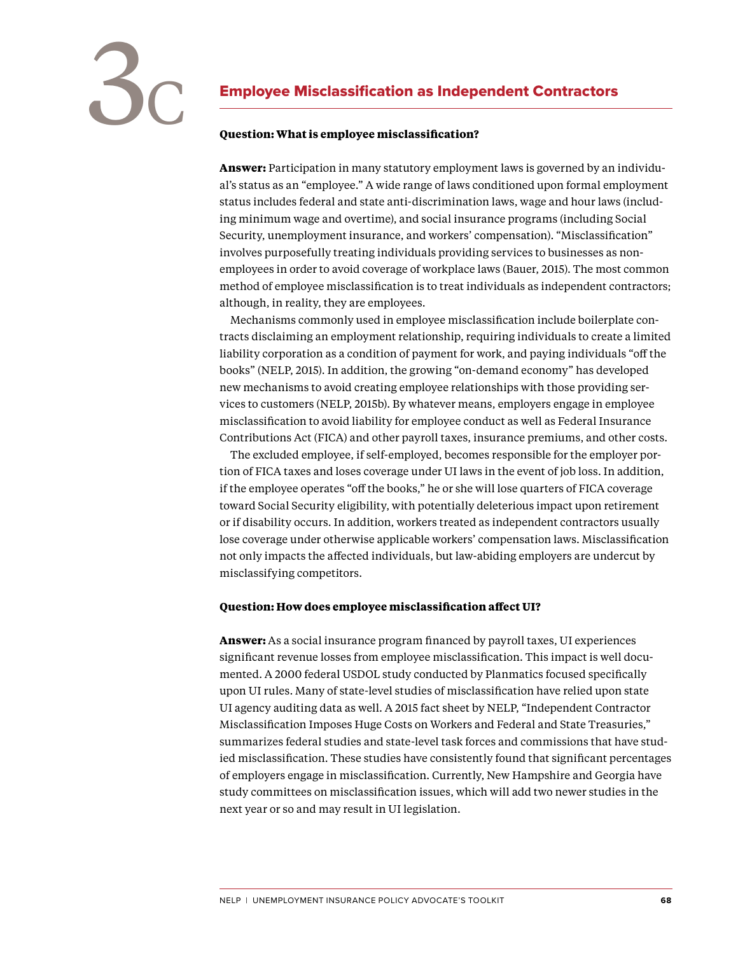

# Employee Misclassification as Independent Contractors

## **Question: What is employee misclassification?**

**Answer:** Participation in many statutory employment laws is governed by an individual's status as an "employee." A wide range of laws conditioned upon formal employment status includes federal and state anti-discrimination laws, wage and hour laws (including minimum wage and overtime), and social insurance programs (including Social Security, unemployment insurance, and workers' compensation). "Misclassification" involves purposefully treating individuals providing services to businesses as nonemployees in order to avoid coverage of workplace laws (Bauer, 2015). The most common method of employee misclassification is to treat individuals as independent contractors; although, in reality, they are employees.

 Mechanisms commonly used in employee misclassification include boilerplate contracts disclaiming an employment relationship, requiring individuals to create a limited liability corporation as a condition of payment for work, and paying individuals "off the books" (NELP, 2015). In addition, the growing "on-demand economy" has developed new mechanisms to avoid creating employee relationships with those providing services to customers (NELP, 2015b). By whatever means, employers engage in employee misclassification to avoid liability for employee conduct as well as Federal Insurance Contributions Act (FICA) and other payroll taxes, insurance premiums, and other costs.

 The excluded employee, if self-employed, becomes responsible for the employer portion of FICA taxes and loses coverage under UI laws in the event of job loss. In addition, if the employee operates "off the books," he or she will lose quarters of FICA coverage toward Social Security eligibility, with potentially deleterious impact upon retirement or if disability occurs. In addition, workers treated as independent contractors usually lose coverage under otherwise applicable workers' compensation laws. Misclassification not only impacts the affected individuals, but law-abiding employers are undercut by misclassifying competitors.

### **Question: How does employee misclassification affect UI?**

**Answer:** As a social insurance program financed by payroll taxes, UI experiences significant revenue losses from employee misclassification. This impact is well documented. A 2000 federal USDOL study conducted by Planmatics focused specifically upon UI rules. Many of state-level studies of misclassification have relied upon state UI agency auditing data as well. A 2015 fact sheet by NELP, "Independent Contractor Misclassification Imposes Huge Costs on Workers and Federal and State Treasuries," summarizes federal studies and state-level task forces and commissions that have studied misclassification. These studies have consistently found that significant percentages of employers engage in misclassification. Currently, New Hampshire and Georgia have study committees on misclassification issues, which will add two newer studies in the next year or so and may result in UI legislation.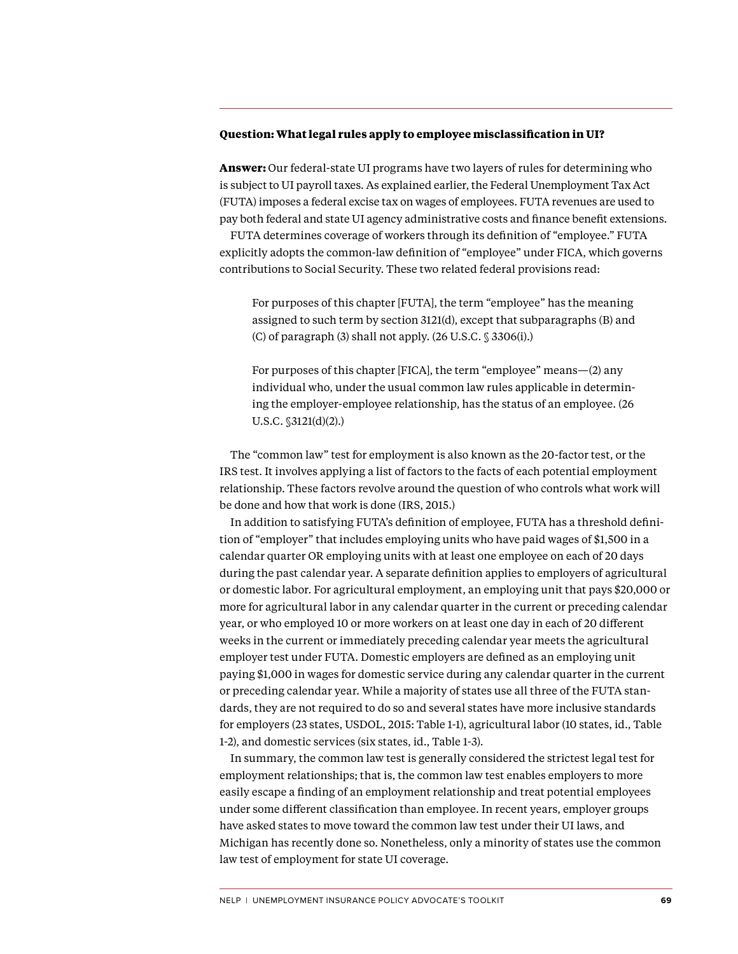### **Question: What legal rules apply to employee misclassification in UI?**

**Answer:** Our federal-state UI programs have two layers of rules for determining who is subject to UI payroll taxes. As explained earlier, the Federal Unemployment Tax Act (FUTA) imposes a federal excise tax on wages of employees. FUTA revenues are used to pay both federal and state UI agency administrative costs and finance benefit extensions.

 FUTA determines coverage of workers through its definition of "employee." FUTA explicitly adopts the common-law definition of "employee" under FICA, which governs contributions to Social Security. These two related federal provisions read:

For purposes of this chapter [FUTA], the term "employee" has the meaning assigned to such term by section 3121(d), except that subparagraphs (B) and (C) of paragraph (3) shall not apply. (26 U.S.C. § 3306(i).)

For purposes of this chapter [FICA], the term "employee" means—(2) any individual who, under the usual common law rules applicable in determining the employer-employee relationship, has the status of an employee. (26 U.S.C. §3121(d)(2).)

 The "common law" test for employment is also known as the 20-factor test, or the IRS test. It involves applying a list of factors to the facts of each potential employment relationship. These factors revolve around the question of who controls what work will be done and how that work is done (IRS, 2015.)

 In addition to satisfying FUTA's definition of employee, FUTA has a threshold definition of "employer" that includes employing units who have paid wages of \$1,500 in a calendar quarter OR employing units with at least one employee on each of 20 days during the past calendar year. A separate definition applies to employers of agricultural or domestic labor. For agricultural employment, an employing unit that pays \$20,000 or more for agricultural labor in any calendar quarter in the current or preceding calendar year, or who employed 10 or more workers on at least one day in each of 20 different weeks in the current or immediately preceding calendar year meets the agricultural employer test under FUTA. Domestic employers are defined as an employing unit paying \$1,000 in wages for domestic service during any calendar quarter in the current or preceding calendar year. While a majority of states use all three of the FUTA standards, they are not required to do so and several states have more inclusive standards for employers (23 states, USDOL, 2015: Table 1-1), agricultural labor (10 states, id., Table 1-2), and domestic services (six states, id., Table 1-3).

 In summary, the common law test is generally considered the strictest legal test for employment relationships; that is, the common law test enables employers to more easily escape a finding of an employment relationship and treat potential employees under some different classification than employee. In recent years, employer groups have asked states to move toward the common law test under their UI laws, and Michigan has recently done so. Nonetheless, only a minority of states use the common law test of employment for state UI coverage.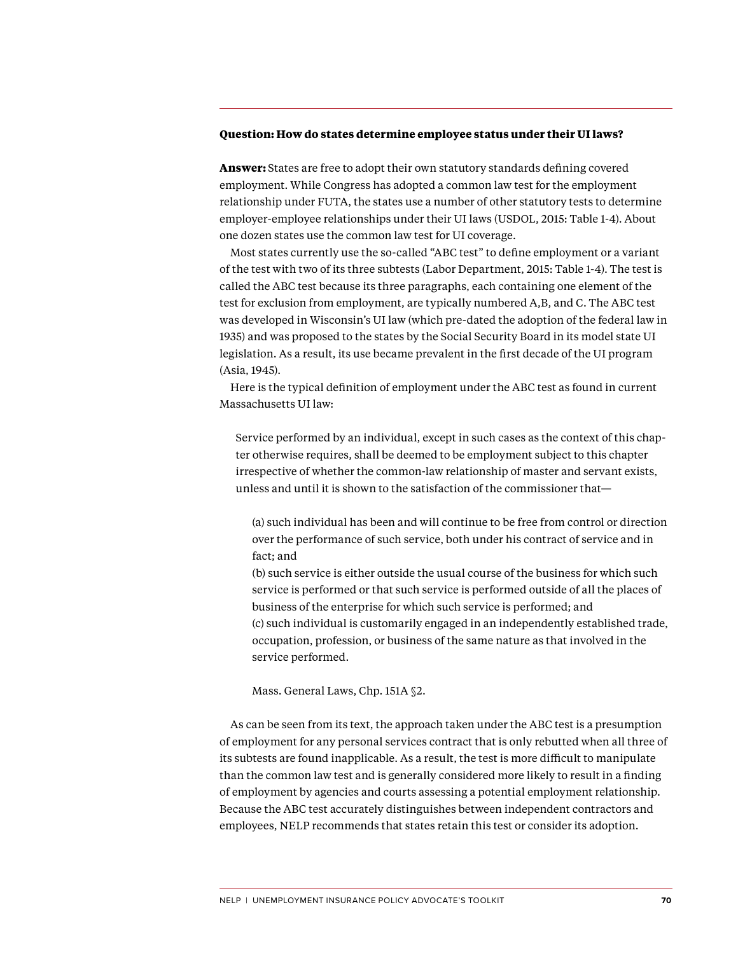### **Question: How do states determine employee status under their UI laws?**

**Answer:** States are free to adopt their own statutory standards defining covered employment. While Congress has adopted a common law test for the employment relationship under FUTA, the states use a number of other statutory tests to determine employer-employee relationships under their UI laws (USDOL, 2015: Table 1-4). About one dozen states use the common law test for UI coverage.

 Most states currently use the so-called "ABC test" to define employment or a variant of the test with two of its three subtests (Labor Department, 2015: Table 1-4). The test is called the ABC test because its three paragraphs, each containing one element of the test for exclusion from employment, are typically numbered A,B, and C. The ABC test was developed in Wisconsin's UI law (which pre-dated the adoption of the federal law in 1935) and was proposed to the states by the Social Security Board in its model state UI legislation. As a result, its use became prevalent in the first decade of the UI program (Asia, 1945).

 Here is the typical definition of employment under the ABC test as found in current Massachusetts UI law:

Service performed by an individual, except in such cases as the context of this chapter otherwise requires, shall be deemed to be employment subject to this chapter irrespective of whether the common-law relationship of master and servant exists, unless and until it is shown to the satisfaction of the commissioner that—

(a) such individual has been and will continue to be free from control or direction over the performance of such service, both under his contract of service and in fact; and

(b) such service is either outside the usual course of the business for which such service is performed or that such service is performed outside of all the places of business of the enterprise for which such service is performed; and (c) such individual is customarily engaged in an independently established trade, occupation, profession, or business of the same nature as that involved in the service performed.

Mass. General Laws, Chp. 151A §2.

 As can be seen from its text, the approach taken under the ABC test is a presumption of employment for any personal services contract that is only rebutted when all three of its subtests are found inapplicable. As a result, the test is more difficult to manipulate than the common law test and is generally considered more likely to result in a finding of employment by agencies and courts assessing a potential employment relationship. Because the ABC test accurately distinguishes between independent contractors and employees, NELP recommends that states retain this test or consider its adoption.